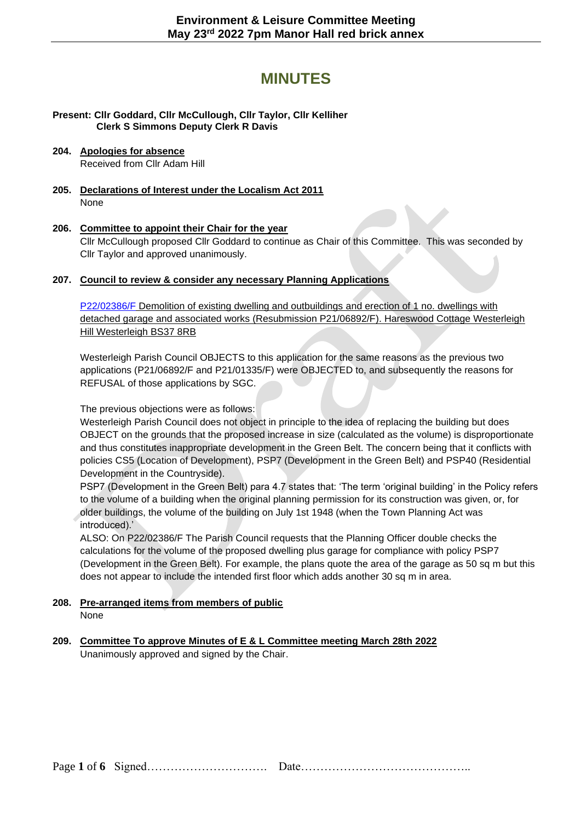# **MINUTES**

**Present: Cllr Goddard, Cllr McCullough, Cllr Taylor, Cllr Kelliher Clerk S Simmons Deputy Clerk R Davis**

#### **204. Apologies for absence**  Received from Cllr Adam Hill

**205. Declarations of Interest under the Localism Act 2011** None

## **206. Committee to appoint their Chair for the year**

Cllr McCullough proposed Cllr Goddard to continue as Chair of this Committee. This was seconded by Cllr Taylor and approved unanimously.

#### **207. Council to review & consider any necessary Planning Applications**

[P22/02386/F](https://developments.southglos.gov.uk/online-applications/applicationDetails.do?activeTab=documents&keyVal=RAP7RDOKMXA00&prevPage=inTray) Demolition of existing dwelling and outbuildings and erection of 1 no. dwellings with detached garage and associated works (Resubmission P21/06892/F). Hareswood Cottage Westerleigh Hill Westerleigh BS37 8RB

Westerleigh Parish Council OBJECTS to this application for the same reasons as the previous two applications (P21/06892/F and P21/01335/F) were OBJECTED to, and subsequently the reasons for REFUSAL of those applications by SGC.

#### The previous objections were as follows:

Westerleigh Parish Council does not object in principle to the idea of replacing the building but does OBJECT on the grounds that the proposed increase in size (calculated as the volume) is disproportionate and thus constitutes inappropriate development in the Green Belt. The concern being that it conflicts with policies CS5 (Location of Development), PSP7 (Development in the Green Belt) and PSP40 (Residential Development in the Countryside).

PSP7 (Development in the Green Belt) para 4.7 states that: 'The term 'original building' in the Policy refers to the volume of a building when the original planning permission for its construction was given, or, for older buildings, the volume of the building on July 1st 1948 (when the Town Planning Act was introduced).'

ALSO: On P22/02386/F The Parish Council requests that the Planning Officer double checks the calculations for the volume of the proposed dwelling plus garage for compliance with policy PSP7 (Development in the Green Belt). For example, the plans quote the area of the garage as 50 sq m but this does not appear to include the intended first floor which adds another 30 sq m in area.

#### **208. Pre-arranged items from members of public**  None

# **209. Committee To approve [Minutes of E & L Committee meeting March 28th](https://www.westerleighparishcouncil.org.uk/wp-content/uploads/2020/05/Draft-Minutes-EL-Committee-28.3.2022.pdf) 2022**

Unanimously approved and signed by the Chair.

Page **1** of **6** Signed…………………………. Date……………………………………..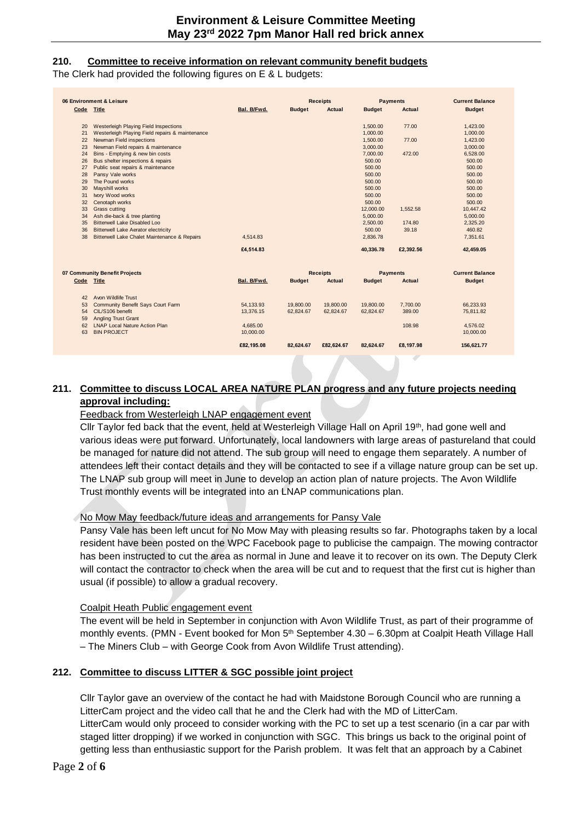#### **210. Committee to receive information on relevant community benefit budgets**

The Clerk had provided the following figures on E & L budgets:

| 06 Environment & Leisure      |                                                 | <b>Receipts</b> |                 | <b>Payments</b> |                 | <b>Current Balance</b> |                        |
|-------------------------------|-------------------------------------------------|-----------------|-----------------|-----------------|-----------------|------------------------|------------------------|
| Code Title                    |                                                 | Bal. B/Fwd.     | <b>Budget</b>   | Actual          | <b>Budget</b>   | <b>Actual</b>          | <b>Budget</b>          |
|                               |                                                 |                 |                 |                 |                 |                        |                        |
| 20                            | <b>Westerleigh Playing Field Inspections</b>    |                 |                 |                 | 1,500.00        | 77.00                  | 1,423.00               |
| 21                            | Westerleigh Playing Field repairs & maintenance |                 |                 |                 | 1,000.00        |                        | 1,000.00               |
| 22                            | Newman Field inspections                        |                 |                 |                 | 1,500.00        | 77.00                  | 1,423.00               |
| 23                            | Newman Field repairs & maintenance              |                 |                 |                 | 3,000.00        |                        | 3,000.00               |
| 24                            | Bins - Emptying & new bin costs                 |                 |                 |                 | 7,000.00        | 472.00                 | 6,528.00               |
| 26                            | Bus shelter inspections & repairs               |                 |                 |                 | 500.00          |                        | 500.00                 |
| 27                            | Public seat repairs & maintenance               |                 |                 |                 | 500.00          |                        | 500.00                 |
| 28                            | Pansy Vale works                                |                 |                 |                 | 500.00          |                        | 500.00                 |
| 29                            | The Pound works                                 |                 |                 |                 | 500.00          |                        | 500.00                 |
| 30                            | Mayshill works                                  |                 |                 |                 | 500.00          |                        | 500.00                 |
| 31                            | Ivory Wood works                                |                 |                 |                 | 500.00          |                        | 500.00                 |
| 32                            | Cenotaph works                                  |                 |                 |                 | 500.00          |                        | 500.00                 |
| 33                            | <b>Grass cutting</b>                            |                 |                 |                 | 12,000.00       | 1,552.58               | 10,447.42              |
| 34                            | Ash die-back & tree planting                    |                 |                 |                 | 5,000.00        |                        | 5,000.00               |
| 35                            | <b>Bitterwell Lake Disabled Loo</b>             |                 |                 |                 | 2,500.00        | 174.80                 | 2,325.20               |
| 36                            | <b>Bitterwell Lake Aerator electricity</b>      |                 |                 |                 | 500.00          | 39.18                  | 460.82                 |
| 38                            | Bitterwell Lake Chalet Maintenance & Repairs    | 4,514.83        |                 |                 | 2,836.78        |                        | 7.351.61               |
|                               |                                                 | £4,514.83       |                 |                 | 40,336.78       | £2,392.56              | 42,459.05              |
| 07 Community Benefit Projects |                                                 |                 | <b>Receipts</b> |                 | <b>Payments</b> |                        | <b>Current Balance</b> |
| Code Title                    |                                                 | Bal. B/Fwd.     | <b>Budget</b>   | Actual          | <b>Budget</b>   | <b>Actual</b>          | <b>Budget</b>          |
| 42                            | Avon Wildlife Trust                             |                 |                 |                 |                 |                        |                        |
| 53                            | <b>Community Benefit Says Court Farm</b>        | 54,133.93       | 19,800.00       | 19,800.00       | 19,800.00       | 7,700.00               | 66.233.93              |
| 54                            | CIL/S106 benefit                                | 13,376.15       | 62,824.67       | 62,824.67       | 62,824.67       | 389.00                 | 75,811.82              |
|                               | <b>Angling Trust Grant</b>                      |                 |                 |                 |                 |                        |                        |
| 59<br>62                      | <b>LNAP Local Nature Action Plan</b>            | 4.685.00        |                 |                 |                 | 108.98                 | 4.576.02               |
| 63                            | <b>BIN PROJECT</b>                              | 10,000.00       |                 |                 |                 |                        | 10,000.00              |
|                               |                                                 |                 |                 |                 |                 |                        |                        |
|                               |                                                 | £82,195.08      | 82.624.67       | £82,624.67      | 82,624.67       | £8,197.98              | 156,621.77             |
|                               |                                                 |                 |                 |                 |                 |                        |                        |

## **211. Committee to discuss LOCAL AREA NATURE PLAN progress and any future projects needing approval including:**

#### Feedback from Westerleigh LNAP engagement event

Cllr Taylor fed back that the event, held at Westerleigh Village Hall on April 19<sup>th</sup>, had gone well and various ideas were put forward. Unfortunately, local landowners with large areas of pastureland that could be managed for nature did not attend. The sub group will need to engage them separately. A number of attendees left their contact details and they will be contacted to see if a village nature group can be set up. The LNAP sub group will meet in June to develop an action plan of nature projects. The Avon Wildlife Trust monthly events will be integrated into an LNAP communications plan.

#### No Mow May feedback/future ideas and arrangements for Pansy Vale

Pansy Vale has been left uncut for No Mow May with pleasing results so far. Photographs taken by a local resident have been posted on the WPC Facebook page to publicise the campaign. The mowing contractor has been instructed to cut the area as normal in June and leave it to recover on its own. The Deputy Clerk will contact the contractor to check when the area will be cut and to request that the first cut is higher than usual (if possible) to allow a gradual recovery.

#### Coalpit Heath Public engagement event

The event will be held in September in conjunction with Avon Wildlife Trust, as part of their programme of monthly events. (PMN - Event booked for Mon 5<sup>th</sup> September 4.30 – 6.30pm at Coalpit Heath Village Hall – The Miners Club – with George Cook from Avon Wildlife Trust attending).

### **212. Committee to discuss LITTER & SGC possible joint project**

Cllr Taylor gave an overview of the contact he had with Maidstone Borough Council who are running a LitterCam project and the video call that he and the Clerk had with the MD of LitterCam.

LitterCam would only proceed to consider working with the PC to set up a test scenario (in a car par with staged litter dropping) if we worked in conjunction with SGC. This brings us back to the original point of getting less than enthusiastic support for the Parish problem. It was felt that an approach by a Cabinet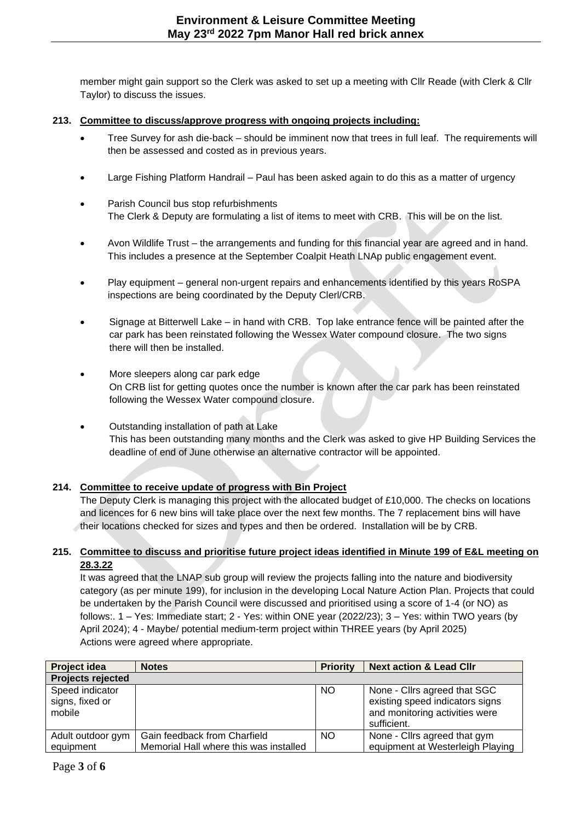member might gain support so the Clerk was asked to set up a meeting with Cllr Reade (with Clerk & Cllr Taylor) to discuss the issues.

#### **213. Committee to discuss/approve progress with ongoing projects including:**

- Tree Survey for ash die-back should be imminent now that trees in full leaf. The requirements will then be assessed and costed as in previous years.
- Large Fishing Platform Handrail Paul has been asked again to do this as a matter of urgency
- Parish Council bus stop refurbishments The Clerk & Deputy are formulating a list of items to meet with CRB. This will be on the list.
- Avon Wildlife Trust the arrangements and funding for this financial year are agreed and in hand. This includes a presence at the September Coalpit Heath LNAp public engagement event.
- Play equipment general non-urgent repairs and enhancements identified by this years RoSPA inspections are being coordinated by the Deputy Clerl/CRB.
- Signage at Bitterwell Lake in hand with CRB. Top lake entrance fence will be painted after the car park has been reinstated following the Wessex Water compound closure. The two signs there will then be installed.
- More sleepers along car park edge On CRB list for getting quotes once the number is known after the car park has been reinstated following the Wessex Water compound closure.
- Outstanding installation of path at Lake This has been outstanding many months and the Clerk was asked to give HP Building Services the deadline of end of June otherwise an alternative contractor will be appointed.

### **214. Committee to receive update of progress with Bin Project**

The Deputy Clerk is managing this project with the allocated budget of £10,000. The checks on locations and licences for 6 new bins will take place over the next few months. The 7 replacement bins will have their locations checked for sizes and types and then be ordered. Installation will be by CRB.

#### **215. Committee to discuss and prioritise future project ideas identified in Minute 199 of E&L meeting on 28.3.22**

It was agreed that the LNAP sub group will review the projects falling into the nature and biodiversity category (as per minute 199), for inclusion in the developing Local Nature Action Plan. Projects that could be undertaken by the Parish Council were discussed and prioritised using a score of 1-4 (or NO) as follows:. 1 – Yes: Immediate start; 2 - Yes: within ONE year (2022/23); 3 – Yes: within TWO years (by April 2024); 4 - Maybe/ potential medium-term project within THREE years (by April 2025) Actions were agreed where appropriate.

| <b>Project idea</b>                | <b>Notes</b>                                                           | <b>Priority</b> | <b>Next action &amp; Lead Cllr</b>                               |
|------------------------------------|------------------------------------------------------------------------|-----------------|------------------------------------------------------------------|
| Projects rejected                  |                                                                        |                 |                                                                  |
| Speed indicator<br>signs, fixed or |                                                                        | <b>NO</b>       | None - Cllrs agreed that SGC<br>existing speed indicators signs  |
| mobile                             |                                                                        |                 | and monitoring activities were<br>sufficient.                    |
| Adult outdoor gym<br>equipment     | Gain feedback from Charfield<br>Memorial Hall where this was installed | <b>NO</b>       | None - Clirs agreed that gym<br>equipment at Westerleigh Playing |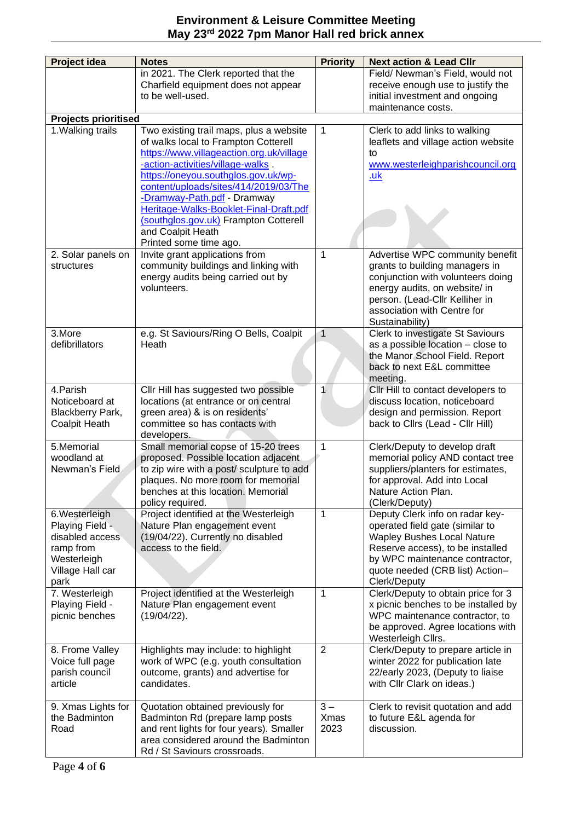# **Environment & Leisure Committee Meeting May 23rd 2022 7pm Manor Hall red brick annex**

| Project idea                       | <b>Notes</b>                              | <b>Priority</b> | <b>Next action &amp; Lead Cllr</b>  |  |  |  |
|------------------------------------|-------------------------------------------|-----------------|-------------------------------------|--|--|--|
|                                    |                                           |                 | Field/ Newman's Field, would not    |  |  |  |
|                                    | in 2021. The Clerk reported that the      |                 |                                     |  |  |  |
|                                    | Charfield equipment does not appear       |                 | receive enough use to justify the   |  |  |  |
|                                    | to be well-used.                          |                 | initial investment and ongoing      |  |  |  |
|                                    | maintenance costs.                        |                 |                                     |  |  |  |
| <b>Projects prioritised</b>        |                                           |                 |                                     |  |  |  |
| 1. Walking trails                  | Two existing trail maps, plus a website   | 1               | Clerk to add links to walking       |  |  |  |
|                                    | of walks local to Frampton Cotterell      |                 | leaflets and village action website |  |  |  |
|                                    | https://www.villageaction.org.uk/village  |                 | to                                  |  |  |  |
|                                    | -action-activities/village-walks          |                 | www.westerleighparishcouncil.org    |  |  |  |
|                                    | https://oneyou.southglos.gov.uk/wp-       |                 | <u>.uk</u>                          |  |  |  |
|                                    | content/uploads/sites/414/2019/03/The     |                 |                                     |  |  |  |
|                                    | -Dramway-Path.pdf - Dramway               |                 |                                     |  |  |  |
|                                    | Heritage-Walks-Booklet-Final-Draft.pdf    |                 |                                     |  |  |  |
|                                    | (southglos.gov.uk) Frampton Cotterell     |                 |                                     |  |  |  |
|                                    | and Coalpit Heath                         |                 |                                     |  |  |  |
|                                    | Printed some time ago.                    |                 |                                     |  |  |  |
| 2. Solar panels on                 | Invite grant applications from            | $\mathbf{1}$    | Advertise WPC community benefit     |  |  |  |
| structures                         | community buildings and linking with      |                 | grants to building managers in      |  |  |  |
|                                    | energy audits being carried out by        |                 | conjunction with volunteers doing   |  |  |  |
|                                    | volunteers.                               |                 | energy audits, on website/ in       |  |  |  |
|                                    |                                           |                 | person. (Lead-Cllr Kelliher in      |  |  |  |
|                                    |                                           |                 | association with Centre for         |  |  |  |
|                                    |                                           |                 | Sustainability)                     |  |  |  |
| 3.More                             | e.g. St Saviours/Ring O Bells, Coalpit    | $\overline{1}$  | Clerk to investigate St Saviours    |  |  |  |
| defibrillators                     | Heath                                     |                 | as a possible location - close to   |  |  |  |
|                                    |                                           |                 | the Manor School Field. Report      |  |  |  |
|                                    |                                           |                 | back to next E&L committee          |  |  |  |
|                                    |                                           |                 | meeting.                            |  |  |  |
| 4. Parish                          | Cllr Hill has suggested two possible      | 1               | Cllr Hill to contact developers to  |  |  |  |
| Noticeboard at                     | locations (at entrance or on central      |                 | discuss location, noticeboard       |  |  |  |
| Blackberry Park,                   | green area) & is on residents'            |                 | design and permission. Report       |  |  |  |
| <b>Coalpit Heath</b>               | committee so has contacts with            |                 | back to Cllrs (Lead - Cllr Hill)    |  |  |  |
|                                    | developers.                               |                 |                                     |  |  |  |
| 5.Memorial                         | Small memorial copse of 15-20 trees       | 1               | Clerk/Deputy to develop draft       |  |  |  |
| woodland at                        | proposed. Possible location adjacent      |                 | memorial policy AND contact tree    |  |  |  |
| Newman's Field                     | to zip wire with a post/ sculpture to add |                 | suppliers/planters for estimates,   |  |  |  |
|                                    | plaques. No more room for memorial        |                 | for approval. Add into Local        |  |  |  |
|                                    | benches at this location. Memorial        |                 | Nature Action Plan.                 |  |  |  |
|                                    | policy required.                          |                 | (Clerk/Deputy)                      |  |  |  |
| 6.Westerleigh                      | Project identified at the Westerleigh     | 1               | Deputy Clerk info on radar key-     |  |  |  |
|                                    |                                           |                 |                                     |  |  |  |
| Playing Field -<br>disabled access | Nature Plan engagement event              |                 | operated field gate (similar to     |  |  |  |
|                                    | (19/04/22). Currently no disabled         |                 | <b>Wapley Bushes Local Nature</b>   |  |  |  |
| ramp from                          | access to the field.                      |                 | Reserve access), to be installed    |  |  |  |
| Westerleigh                        |                                           |                 | by WPC maintenance contractor,      |  |  |  |
| Village Hall car                   |                                           |                 | quote needed (CRB list) Action-     |  |  |  |
| park                               |                                           |                 | Clerk/Deputy                        |  |  |  |
| 7. Westerleigh                     | Project identified at the Westerleigh     | 1               | Clerk/Deputy to obtain price for 3  |  |  |  |
| Playing Field -                    | Nature Plan engagement event              |                 | x picnic benches to be installed by |  |  |  |
| picnic benches                     | (19/04/22).                               |                 | WPC maintenance contractor, to      |  |  |  |
|                                    |                                           |                 | be approved. Agree locations with   |  |  |  |
|                                    |                                           |                 | Westerleigh Cllrs.                  |  |  |  |
| 8. Frome Valley                    | Highlights may include: to highlight      | $\overline{2}$  | Clerk/Deputy to prepare article in  |  |  |  |
| Voice full page                    | work of WPC (e.g. youth consultation      |                 | winter 2022 for publication late    |  |  |  |
| parish council                     | outcome, grants) and advertise for        |                 | 22/early 2023, (Deputy to liaise    |  |  |  |
| article                            | candidates.                               |                 | with Cllr Clark on ideas.)          |  |  |  |
|                                    |                                           |                 |                                     |  |  |  |
| 9. Xmas Lights for                 | Quotation obtained previously for         | $3 -$           | Clerk to revisit quotation and add  |  |  |  |
| the Badminton                      | Badminton Rd (prepare lamp posts          | Xmas            | to future E&L agenda for            |  |  |  |
| Road                               | and rent lights for four years). Smaller  | 2023            | discussion.                         |  |  |  |
|                                    | area considered around the Badminton      |                 |                                     |  |  |  |
|                                    | Rd / St Saviours crossroads.              |                 |                                     |  |  |  |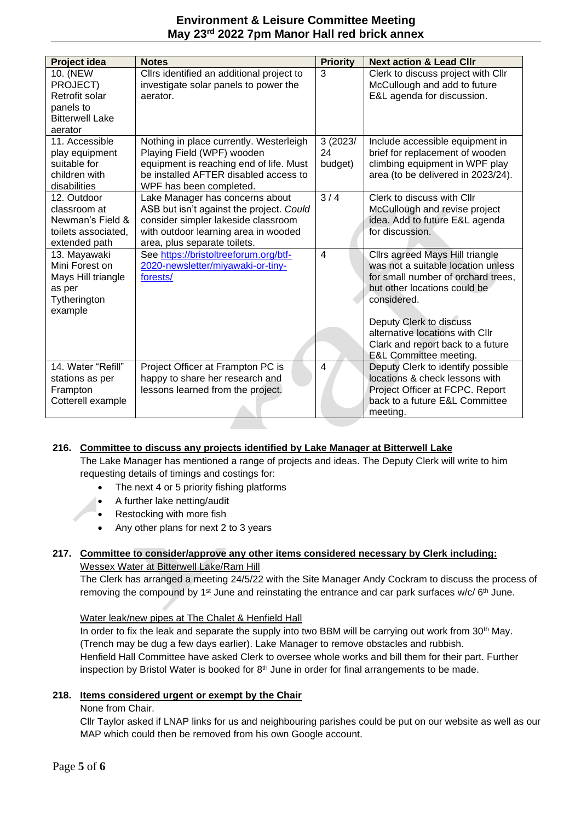## **Environment & Leisure Committee Meeting May 23rd 2022 7pm Manor Hall red brick annex**

| Project idea                                                                              | <b>Notes</b>                                                                                                                                                                               | <b>Priority</b>           | <b>Next action &amp; Lead Clir</b>                                                                                                                                                                                                                                                                 |
|-------------------------------------------------------------------------------------------|--------------------------------------------------------------------------------------------------------------------------------------------------------------------------------------------|---------------------------|----------------------------------------------------------------------------------------------------------------------------------------------------------------------------------------------------------------------------------------------------------------------------------------------------|
| 10. (NEW<br>PROJECT)<br>Retrofit solar<br>panels to<br><b>Bitterwell Lake</b><br>aerator  | Cllrs identified an additional project to<br>investigate solar panels to power the<br>aerator.                                                                                             | 3                         | Clerk to discuss project with Cllr<br>McCullough and add to future<br>E&L agenda for discussion.                                                                                                                                                                                                   |
| 11. Accessible<br>play equipment<br>suitable for<br>children with<br>disabilities         | Nothing in place currently. Westerleigh<br>Playing Field (WPF) wooden<br>equipment is reaching end of life. Must<br>be installed AFTER disabled access to<br>WPF has been completed.       | 3 (2023/<br>24<br>budget) | Include accessible equipment in<br>brief for replacement of wooden<br>climbing equipment in WPF play<br>area (to be delivered in 2023/24).                                                                                                                                                         |
| 12. Outdoor<br>classroom at<br>Newman's Field &<br>toilets associated.<br>extended path   | Lake Manager has concerns about<br>ASB but isn't against the project. Could<br>consider simpler lakeside classroom<br>with outdoor learning area in wooded<br>area, plus separate toilets. | 3/4                       | Clerk to discuss with Cllr<br>McCullough and revise project<br>idea. Add to future E&L agenda<br>for discussion.                                                                                                                                                                                   |
| 13. Mayawaki<br>Mini Forest on<br>Mays Hill triangle<br>as per<br>Tytherington<br>example | See https://bristoltreeforum.org/btf-<br>2020-newsletter/miyawaki-or-tiny-<br>forests/                                                                                                     | $\overline{\mathbf{4}}$   | Cllrs agreed Mays Hill triangle<br>was not a suitable location unless<br>for small number of orchard trees,<br>but other locations could be<br>considered.<br>Deputy Clerk to discuss<br>alternative locations with Cllr<br>Clark and report back to a future<br><b>E&amp;L Committee meeting.</b> |
| 14. Water "Refill"<br>stations as per<br>Frampton<br>Cotterell example                    | Project Officer at Frampton PC is<br>happy to share her research and<br>lessons learned from the project.                                                                                  | 4                         | Deputy Clerk to identify possible<br>locations & check lessons with<br>Project Officer at FCPC. Report<br>back to a future E&L Committee<br>meeting.                                                                                                                                               |

# **216. Committee to discuss any projects identified by Lake Manager at Bitterwell Lake**

The Lake Manager has mentioned a range of projects and ideas. The Deputy Clerk will write to him requesting details of timings and costings for:

- The next 4 or 5 priority fishing platforms
- A further lake netting/audit
- Restocking with more fish
- Any other plans for next 2 to 3 years

#### **217. Committee to consider/approve any other items considered necessary by Clerk including:** Wessex Water at Bitterwell Lake/Ram Hill

The Clerk has arranged a meeting 24/5/22 with the Site Manager Andy Cockram to discuss the process of removing the compound by 1<sup>st</sup> June and reinstating the entrance and car park surfaces w/c/ 6<sup>th</sup> June.

# Water leak/new pipes at The Chalet & Henfield Hall

In order to fix the leak and separate the supply into two BBM will be carrying out work from 30<sup>th</sup> May. (Trench may be dug a few days earlier). Lake Manager to remove obstacles and rubbish. Henfield Hall Committee have asked Clerk to oversee whole works and bill them for their part. Further inspection by Bristol Water is booked for 8<sup>th</sup> June in order for final arrangements to be made.

# **218. Items considered urgent or exempt by the Chair**

# None from Chair.

Cllr Taylor asked if LNAP links for us and neighbouring parishes could be put on our website as well as our MAP which could then be removed from his own Google account.